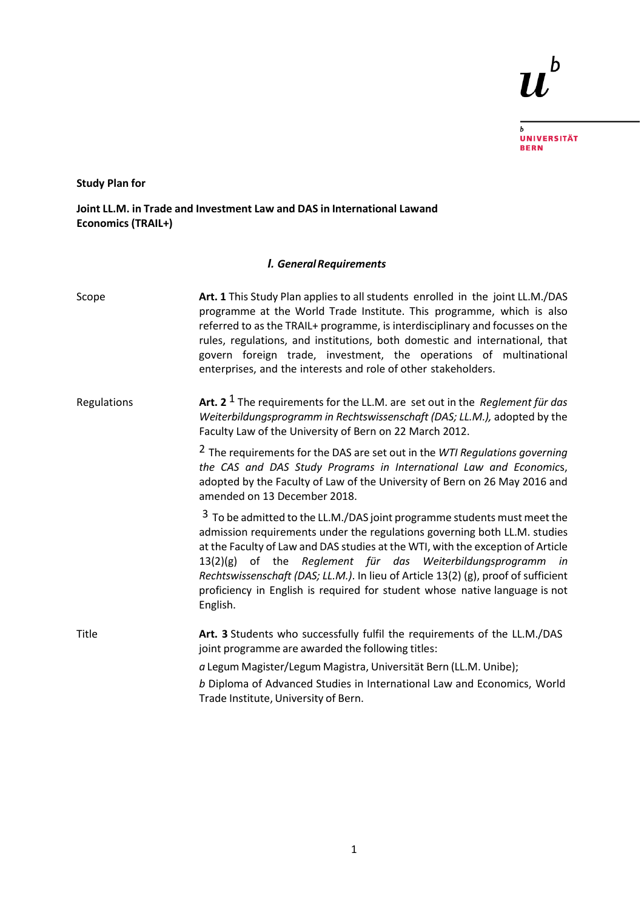## $\boldsymbol{u}^{\text{\tiny b}}$

<sub>b</sub><br>Universität<br>Bern

**Study Plan for**

**Joint LL.M. in Trade and Investment Law and DAS in International Lawand Economics (TRAIL+)**

## *I. GeneralRequirements*

| Scope       | Art. 1 This Study Plan applies to all students enrolled in the joint LL.M./DAS<br>programme at the World Trade Institute. This programme, which is also<br>referred to as the TRAIL+ programme, is interdisciplinary and focusses on the<br>rules, regulations, and institutions, both domestic and international, that<br>govern foreign trade, investment, the operations of multinational<br>enterprises, and the interests and role of other stakeholders.                                      |
|-------------|-----------------------------------------------------------------------------------------------------------------------------------------------------------------------------------------------------------------------------------------------------------------------------------------------------------------------------------------------------------------------------------------------------------------------------------------------------------------------------------------------------|
| Regulations | Art. 2 <sup>1</sup> The requirements for the LL.M. are set out in the <i>Reglement für das</i><br>Weiterbildungsprogramm in Rechtswissenschaft (DAS; LL.M.), adopted by the<br>Faculty Law of the University of Bern on 22 March 2012.                                                                                                                                                                                                                                                              |
|             | <sup>2</sup> The requirements for the DAS are set out in the WTI Regulations governing<br>the CAS and DAS Study Programs in International Law and Economics,<br>adopted by the Faculty of Law of the University of Bern on 26 May 2016 and<br>amended on 13 December 2018.                                                                                                                                                                                                                          |
|             | <sup>3</sup> To be admitted to the LL.M./DAS joint programme students must meet the<br>admission requirements under the regulations governing both LL.M. studies<br>at the Faculty of Law and DAS studies at the WTI, with the exception of Article<br>13(2)(g) of the Reglement für das Weiterbildungsprogramm in<br>Rechtswissenschaft (DAS; LL.M.). In lieu of Article 13(2) (g), proof of sufficient<br>proficiency in English is required for student whose native language is not<br>English. |
| Title       | Art. 3 Students who successfully fulfil the requirements of the LL.M./DAS<br>joint programme are awarded the following titles:                                                                                                                                                                                                                                                                                                                                                                      |
|             | a Legum Magister/Legum Magistra, Universität Bern (LL.M. Unibe);                                                                                                                                                                                                                                                                                                                                                                                                                                    |
|             | b Diploma of Advanced Studies in International Law and Economics, World<br>Trade Institute, University of Bern.                                                                                                                                                                                                                                                                                                                                                                                     |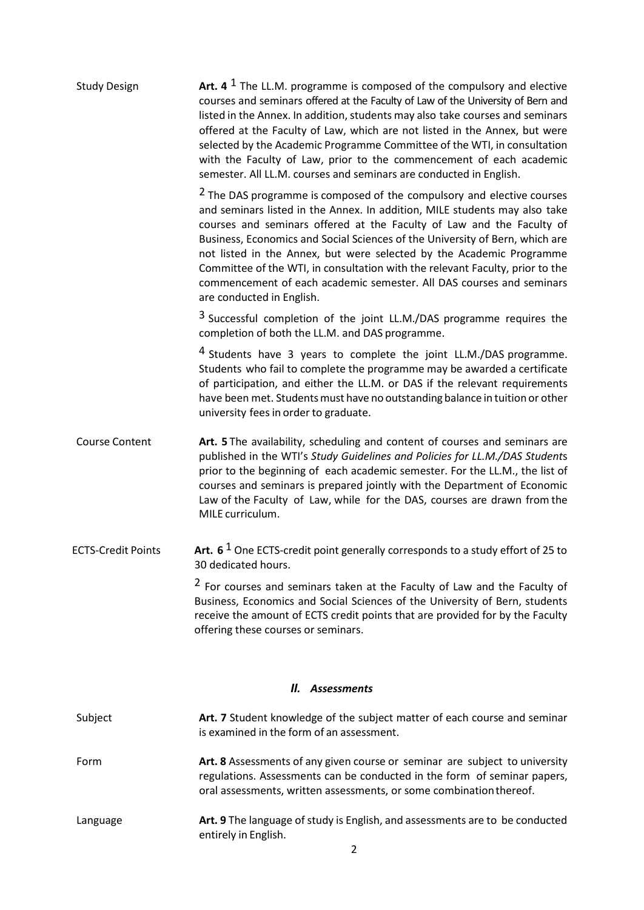| <b>Study Design</b>       | Art. 4 $1$ The LL.M. programme is composed of the compulsory and elective<br>courses and seminars offered at the Faculty of Law of the University of Bern and<br>listed in the Annex. In addition, students may also take courses and seminars<br>offered at the Faculty of Law, which are not listed in the Annex, but were<br>selected by the Academic Programme Committee of the WTI, in consultation<br>with the Faculty of Law, prior to the commencement of each academic<br>semester. All LL.M. courses and seminars are conducted in English.                                  |
|---------------------------|----------------------------------------------------------------------------------------------------------------------------------------------------------------------------------------------------------------------------------------------------------------------------------------------------------------------------------------------------------------------------------------------------------------------------------------------------------------------------------------------------------------------------------------------------------------------------------------|
|                           | <sup>2</sup> The DAS programme is composed of the compulsory and elective courses<br>and seminars listed in the Annex. In addition, MILE students may also take<br>courses and seminars offered at the Faculty of Law and the Faculty of<br>Business, Economics and Social Sciences of the University of Bern, which are<br>not listed in the Annex, but were selected by the Academic Programme<br>Committee of the WTI, in consultation with the relevant Faculty, prior to the<br>commencement of each academic semester. All DAS courses and seminars<br>are conducted in English. |
|                           | <sup>3</sup> Successful completion of the joint LL.M./DAS programme requires the<br>completion of both the LL.M. and DAS programme.                                                                                                                                                                                                                                                                                                                                                                                                                                                    |
|                           | <sup>4</sup> Students have 3 years to complete the joint LL.M./DAS programme.<br>Students who fail to complete the programme may be awarded a certificate<br>of participation, and either the LL.M. or DAS if the relevant requirements<br>have been met. Students must have no outstanding balance in tuition or other<br>university fees in order to graduate.                                                                                                                                                                                                                       |
| <b>Course Content</b>     | Art. 5 The availability, scheduling and content of courses and seminars are<br>published in the WTI's Study Guidelines and Policies for LL.M./DAS Students<br>prior to the beginning of each academic semester. For the LL.M., the list of<br>courses and seminars is prepared jointly with the Department of Economic<br>Law of the Faculty of Law, while for the DAS, courses are drawn from the<br>MILE curriculum.                                                                                                                                                                 |
| <b>ECTS-Credit Points</b> | Art. 6 <sup>1</sup> One ECTS-credit point generally corresponds to a study effort of 25 to<br>30 dedicated hours.                                                                                                                                                                                                                                                                                                                                                                                                                                                                      |
|                           | <sup>2</sup> For courses and seminars taken at the Faculty of Law and the Faculty of<br>Business, Economics and Social Sciences of the University of Bern, students<br>receive the amount of ECTS credit points that are provided for by the Faculty<br>offering these courses or seminars.                                                                                                                                                                                                                                                                                            |
|                           | II. Assessments                                                                                                                                                                                                                                                                                                                                                                                                                                                                                                                                                                        |
| Subject                   | Art. 7 Student knowledge of the subject matter of each course and seminar<br>is examined in the form of an assessment.                                                                                                                                                                                                                                                                                                                                                                                                                                                                 |
| Form                      | Art. 8 Assessments of any given course or seminar are subject to university<br>regulations. Assessments can be conducted in the form of seminar papers,                                                                                                                                                                                                                                                                                                                                                                                                                                |

Language **Art. 9** The language of study is English, and assessments are to be conducted entirely in English.

oral assessments, written assessments, or some combinationthereof.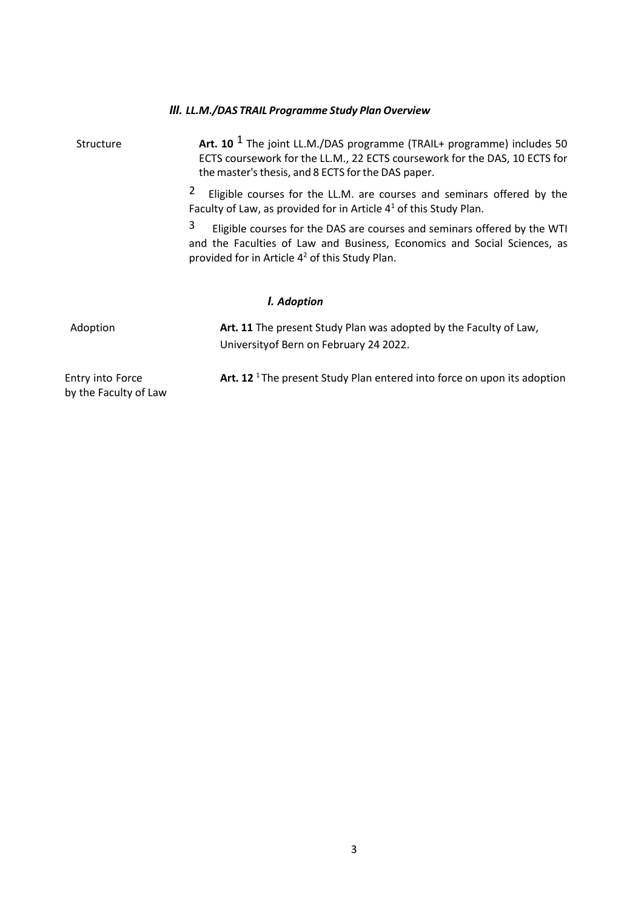|                                           | III. LL.M./DAS TRAIL Programme Study Plan Overview                                                                                                                                                                      |
|-------------------------------------------|-------------------------------------------------------------------------------------------------------------------------------------------------------------------------------------------------------------------------|
| Structure                                 | Art. 10 $1$ The joint LL.M./DAS programme (TRAIL+ programme) includes 50<br>ECTS coursework for the LL.M., 22 ECTS coursework for the DAS, 10 ECTS for<br>the master's thesis, and 8 ECTS for the DAS paper.            |
|                                           | 2<br>Eligible courses for the LL.M. are courses and seminars offered by the<br>Faculty of Law, as provided for in Article $41$ of this Study Plan.                                                                      |
|                                           | 3<br>Eligible courses for the DAS are courses and seminars offered by the WTI<br>and the Faculties of Law and Business, Economics and Social Sciences, as<br>provided for in Article 4 <sup>2</sup> of this Study Plan. |
|                                           | I. Adoption                                                                                                                                                                                                             |
| Adoption                                  | Art. 11 The present Study Plan was adopted by the Faculty of Law,<br>University of Bern on February 24 2022.                                                                                                            |
| Entry into Force<br>by the Faculty of Law | Art. 12 <sup>1</sup> The present Study Plan entered into force on upon its adoption                                                                                                                                     |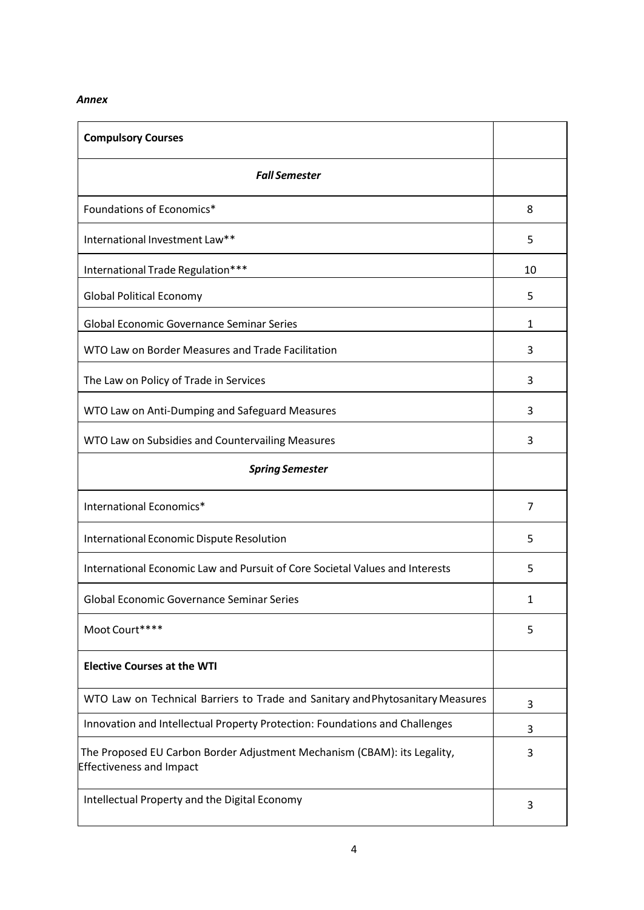## *Annex*

| <b>Compulsory Courses</b>                                                                                   |    |  |
|-------------------------------------------------------------------------------------------------------------|----|--|
| <b>Fall Semester</b>                                                                                        |    |  |
| Foundations of Economics*                                                                                   |    |  |
| International Investment Law**                                                                              |    |  |
| International Trade Regulation***                                                                           | 10 |  |
| <b>Global Political Economy</b>                                                                             | 5  |  |
| <b>Global Economic Governance Seminar Series</b>                                                            | 1  |  |
| WTO Law on Border Measures and Trade Facilitation                                                           | 3  |  |
| The Law on Policy of Trade in Services                                                                      | 3  |  |
| WTO Law on Anti-Dumping and Safeguard Measures                                                              | 3  |  |
| WTO Law on Subsidies and Countervailing Measures                                                            | 3  |  |
| <b>Spring Semester</b>                                                                                      |    |  |
| International Economics*                                                                                    | 7  |  |
| International Economic Dispute Resolution                                                                   |    |  |
| International Economic Law and Pursuit of Core Societal Values and Interests                                |    |  |
| <b>Global Economic Governance Seminar Series</b>                                                            | 1  |  |
| Moot Court****                                                                                              | 5  |  |
| <b>Elective Courses at the WTI</b>                                                                          |    |  |
| WTO Law on Technical Barriers to Trade and Sanitary and Phytosanitary Measures                              | 3  |  |
| Innovation and Intellectual Property Protection: Foundations and Challenges                                 | 3  |  |
| The Proposed EU Carbon Border Adjustment Mechanism (CBAM): its Legality,<br><b>Effectiveness and Impact</b> | 3  |  |
| Intellectual Property and the Digital Economy                                                               |    |  |